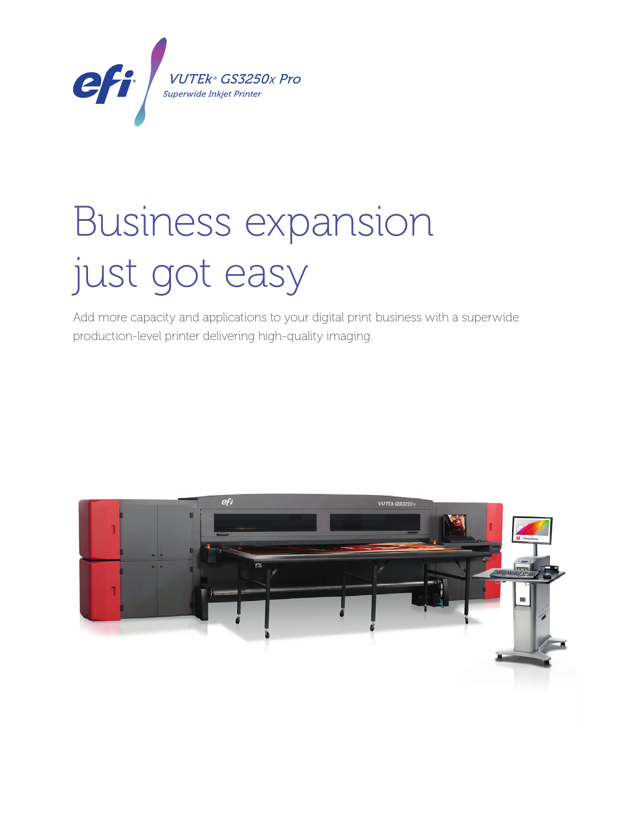

# **Business expansion** just got easy

Add more capacity and applications to your digital print business with a superwide production-level printer delivering high-quality imaging.

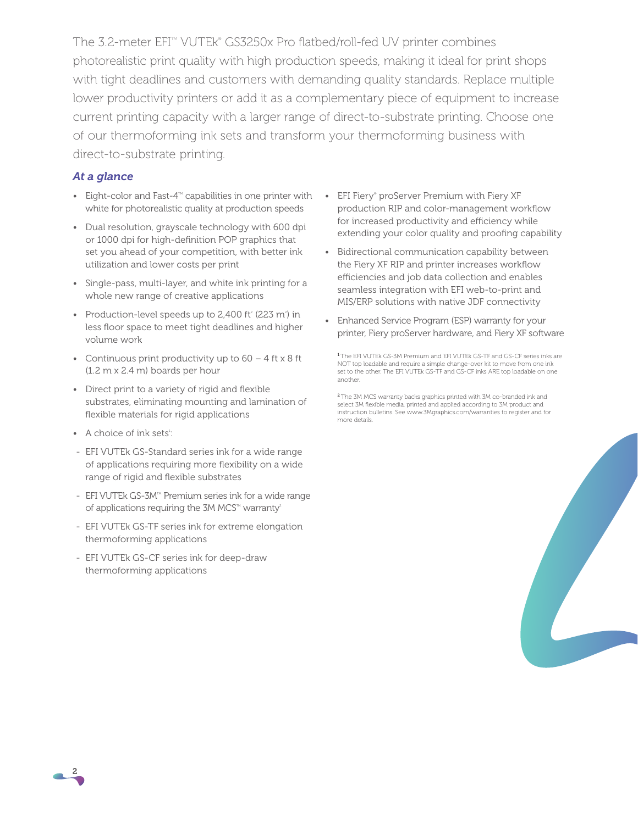The 3.2-meter EFI<sup>™</sup> VUTEk® GS3250x Pro flatbed/roll-fed UV printer combines photorealistic print quality with high production speeds, making it ideal for print shops with tight deadlines and customers with demanding quality standards. Replace multiple lower productivity printers or add it as a complementary piece of equipment to increase current printing capacity with a larger range of direct-to-substrate printing. Choose one of our thermoforming ink sets and transform your thermoforming business with direct-to-substrate printing.

### *At a glance*

- Eight-color and Fast- $4^{\mathbb{M}}$  capabilities in one printer with white for photorealistic quality at production speeds
- Dual resolution, grayscale technology with 600 dpi or 1000 dpi for high-definition POP graphics that set you ahead of your competition, with better ink utilization and lower costs per print
- Single-pass, multi-layer, and white ink printing for a whole new range of creative applications
- Production-level speeds up to 2,400 ft<sup>2</sup> (223 m<sup>2</sup>) in less floor space to meet tight deadlines and higher volume work
- Continuous print productivity up to  $60 4$  ft x 8 ft (1.2 m x 2.4 m) boards per hour
- Direct print to a variety of rigid and flexible substrates, eliminating mounting and lamination of flexible materials for rigid applications
- A choice of ink sets<sup>1</sup>:
- EFI VUTEk GS-Standard series ink for a wide range of applications requiring more flexibility on a wide range of rigid and flexible substrates
- EFI VUTEk GS-3M™ Premium series ink for a wide range of applications requiring the 3M MCS<sup>TM</sup> warranty<sup>2</sup>
- EFI VUTEk GS-TF series ink for extreme elongation thermoforming applications
- EFI VUTEk GS-CF series ink for deep-draw thermoforming applications
- EFI Fiery® proServer Premium with Fiery XF production RIP and color-management workflow for increased productivity and efficiency while extending your color quality and proofing capability
- Bidirectional communication capability between the Fiery XF RIP and printer increases workflow efficiencies and job data collection and enables seamless integration with EFI web-to-print and MIS/ERP solutions with native JDF connectivity
- Enhanced Service Program (ESP) warranty for your printer, Fiery proServer hardware, and Fiery XF software

<sup>1</sup>The EFI VUTEk GS-3M Premium and EFI VUTEk GS-TF and GS-CF series inks are NOT top loadable and require a simple change-over kit to move from one ink set to the other. The EFI VUTEk GS-TF and GS-CF inks ARE top loadable on one another.

<sup>2</sup>The 3M MCS warranty backs graphics printed with 3M co-branded ink and select 3M flexible media, printed and applied according to 3M product and instruction bulletins. See www.3Mgraphics.com/warranties to register and for more details.



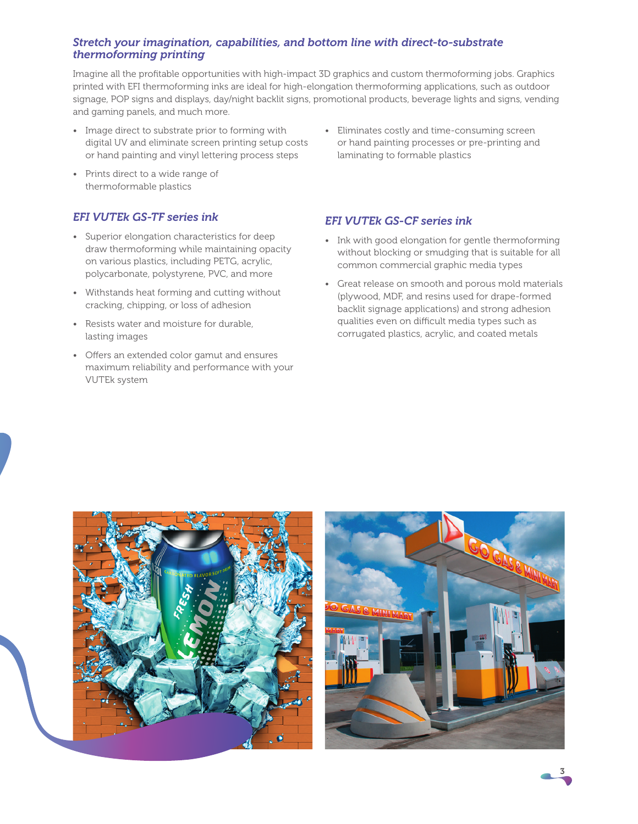# *Stretch your imagination, capabilities, and bottom line with direct-to-substrate thermoforming printing*

Imagine all the profitable opportunities with high-impact 3D graphics and custom thermoforming jobs. Graphics printed with EFI thermoforming inks are ideal for high-elongation thermoforming applications, such as outdoor signage, POP signs and displays, day/night backlit signs, promotional products, beverage lights and signs, vending and gaming panels, and much more.

- Image direct to substrate prior to forming with digital UV and eliminate screen printing setup costs or hand painting and vinyl lettering process steps
- Prints direct to a wide range of thermoformable plastics

# *EFI VUTEk GS-TF series ink*

- Superior elongation characteristics for deep draw thermoforming while maintaining opacity on various plastics, including PETG, acrylic, polycarbonate, polystyrene, PVC, and more
- Withstands heat forming and cutting without cracking, chipping, or loss of adhesion
- Resists water and moisture for durable, lasting images
- Offers an extended color gamut and ensures maximum reliability and performance with your VUTEk system

• Eliminates costly and time-consuming screen or hand painting processes or pre-printing and laminating to formable plastics

# *EFI VUTEk GS-CF series ink*

- Ink with good elongation for gentle thermoforming without blocking or smudging that is suitable for all common commercial graphic media types
- Great release on smooth and porous mold materials (plywood, MDF, and resins used for drape-formed backlit signage applications) and strong adhesion qualities even on difficult media types such as corrugated plastics, acrylic, and coated metals